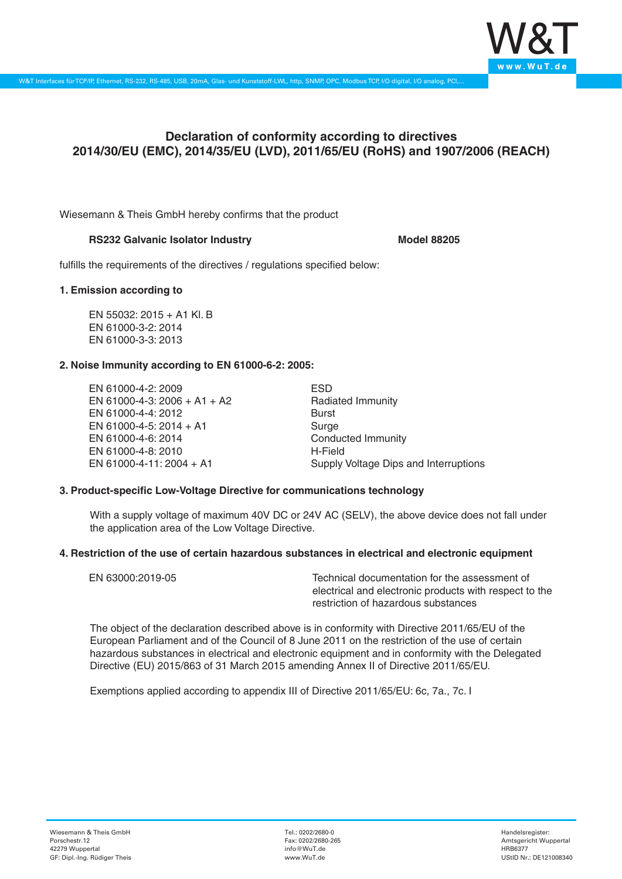

# **Declaration of conformity according to directives 2014/30/EU (EMC), 2014/35/EU (LVD), 2011/65/EU (RoHS) and 1907/2006 (REACH)**

Wiesemann & Theis GmbH hereby confirms that the product

## **RS232 Galvanic Isolator Industry <b>Model 88205** Model 88205

fulfills the requirements of the directives / regulations specified below:

## **1. Emission according to**

EN 55032: 2015 + A1 Kl. B EN 61000-3-2: 2014 EN 61000-3-3: 2013

## **2. Noise Immunity according to EN 61000-6-2: 2005:**

EN 61000-4-2: 2009 EN 61000-4-3: 2006 + A1 + A2 EN 61000-4-4: 2012 EN 61000-4-5: 2014 + A1 EN 61000-4-6: 2014 EN 61000-4-8: 2010 EN 61000-4-11: 2004 + A1

ESD Radiated Immunity Burst Surge Conducted Immunity H-Field Supply Voltage Dips and Interruptions

## **3. Product-specific Low-Voltage Directive for communications technology**

With a supply voltage of maximum 40V DC or 24V AC (SELV), the above device does not fall under the application area of the Low Voltage Directive.

## **4. Restriction of the use of certain hazardous substances in electrical and electronic equipment**

| EN 63000:2019-05 | Technical documentation for the assessment of          |
|------------------|--------------------------------------------------------|
|                  | electrical and electronic products with respect to the |
|                  | restriction of hazardous substances                    |

The object of the declaration described above is in conformity with Directive 2011/65/EU of the European Parliament and of the Council of 8 June 2011 on the restriction of the use of certain hazardous substances in electrical and electronic equipment and in conformity with the Delegated Directive (EU) 2015/863 of 31 March 2015 amending Annex II of Directive 2011/65/EU.

Exemptions applied according to appendix III of Directive 2011/65/EU: 6c, 7a., 7c. I